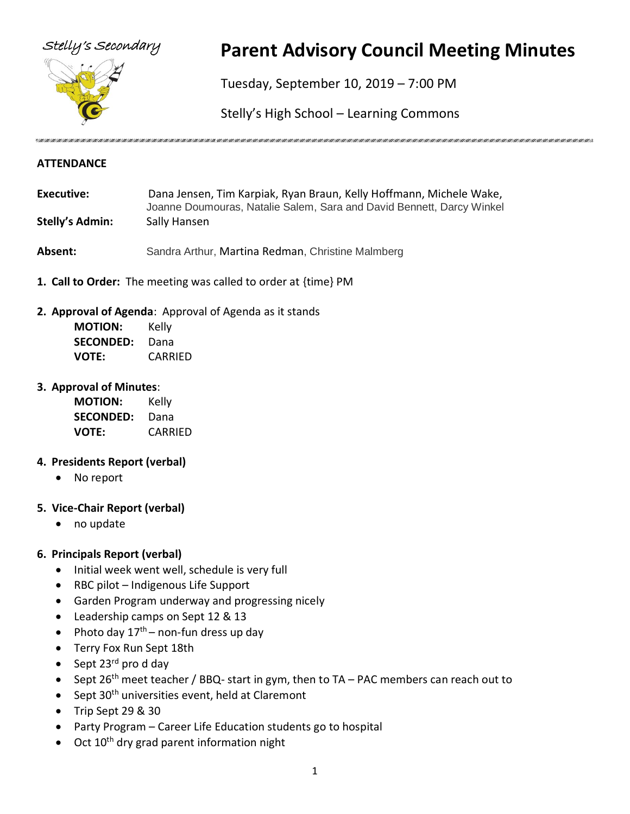

# Stelly's Secondary **Parent Advisory Council Meeting Minutes**

Tuesday, September 10, 2019 – 7:00 PM

Stelly's High School – Learning Commons

#### **ATTENDANCE**

- **Executive:** Dana Jensen, Tim Karpiak, Ryan Braun, Kelly Hoffmann, Michele Wake, Joanne Doumouras, Natalie Salem, Sara and David Bennett, Darcy Winkel **Stelly's Admin:** Sally Hansen
- **Absent:** Sandra Arthur, Martina Redman, Christine Malmberg
- **1. Call to Order:** The meeting was called to order at {time} PM
- **2. Approval of Agenda**: Approval of Agenda as it stands

| <b>MOTION:</b>   | Kelly   |
|------------------|---------|
| <b>SECONDED:</b> | Dana    |
| <b>VOTE:</b>     | CARRIED |

#### **3. Approval of Minutes**:

| <b>MOTION:</b>   | Kelly   |
|------------------|---------|
| <b>SECONDED:</b> | Dana    |
| <b>VOTE:</b>     | CARRIED |

#### **4. Presidents Report (verbal)**

• No report

#### **5. Vice-Chair Report (verbal)**

• no update

#### **6. Principals Report (verbal)**

- Initial week went well, schedule is very full
- RBC pilot Indigenous Life Support
- Garden Program underway and progressing nicely
- Leadership camps on Sept 12 & 13
- Photo day  $17<sup>th</sup>$  non-fun dress up day
- Terry Fox Run Sept 18th
- Sept  $23^{\text{rd}}$  pro d day
- Sept 26<sup>th</sup> meet teacher / BBQ- start in gym, then to TA PAC members can reach out to
- Sept  $30<sup>th</sup>$  universities event, held at Claremont
- Trip Sept 29 & 30
- Party Program Career Life Education students go to hospital
- $\bullet$  Oct 10<sup>th</sup> dry grad parent information night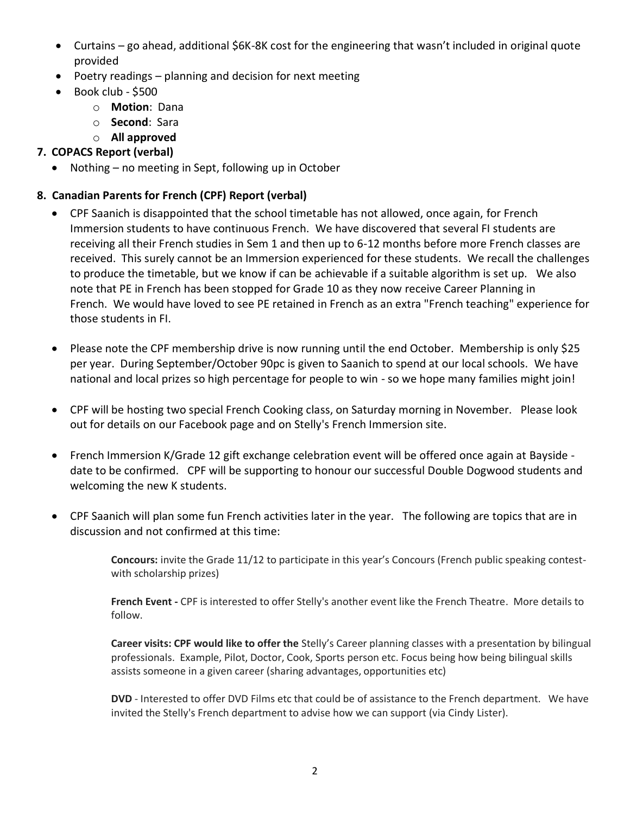- Curtains go ahead, additional \$6K-8K cost for the engineering that wasn't included in original quote provided
- Poetry readings planning and decision for next meeting
- Book club \$500
	- o **Motion**: Dana
	- o **Second**: Sara
	- o **All approved**

#### **7. COPACS Report (verbal)**

• Nothing – no meeting in Sept, following up in October

### **8. Canadian Parents for French (CPF) Report (verbal)**

- CPF Saanich is disappointed that the school timetable has not allowed, once again, for French Immersion students to have continuous French. We have discovered that several FI students are receiving all their French studies in Sem 1 and then up to 6-12 months before more French classes are received. This surely cannot be an Immersion experienced for these students. We recall the challenges to produce the timetable, but we know if can be achievable if a suitable algorithm is set up. We also note that PE in French has been stopped for Grade 10 as they now receive Career Planning in French. We would have loved to see PE retained in French as an extra "French teaching" experience for those students in FI.
- Please note the CPF membership drive is now running until the end October. Membership is only \$25 per year. During September/October 90pc is given to Saanich to spend at our local schools. We have national and local prizes so high percentage for people to win - so we hope many families might join!
- CPF will be hosting two special French Cooking class, on Saturday morning in November. Please look out for details on our Facebook page and on Stelly's French Immersion site.
- French Immersion K/Grade 12 gift exchange celebration event will be offered once again at Bayside date to be confirmed. CPF will be supporting to honour our successful Double Dogwood students and welcoming the new K students.
- CPF Saanich will plan some fun French activities later in the year. The following are topics that are in discussion and not confirmed at this time:

**Concours:** invite the Grade 11/12 to participate in this year's Concours (French public speaking contestwith scholarship prizes)

**French Event -** CPF is interested to offer Stelly's another event like the French Theatre. More details to follow.

**Career visits: CPF would like to offer the** Stelly's Career planning classes with a presentation by bilingual professionals. Example, Pilot, Doctor, Cook, Sports person etc. Focus being how being bilingual skills assists someone in a given career (sharing advantages, opportunities etc)

**DVD** - Interested to offer DVD Films etc that could be of assistance to the French department. We have invited the Stelly's French department to advise how we can support (via Cindy Lister).